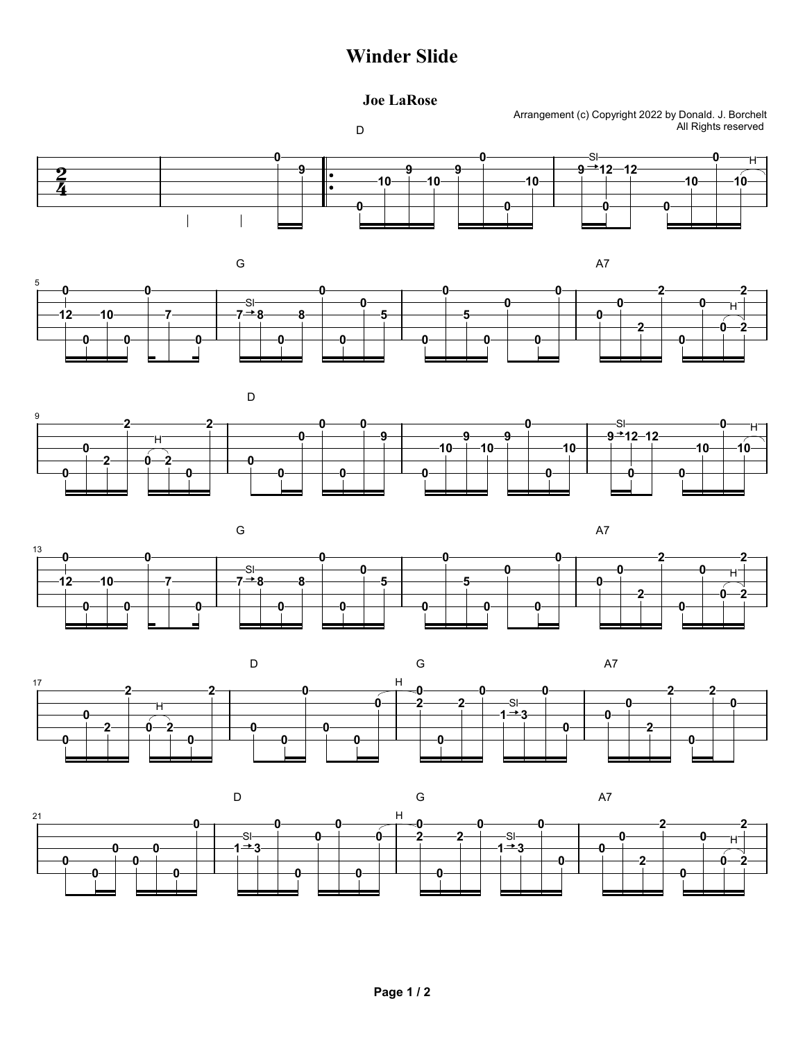## Winder Slide

## Joe LaRose

D